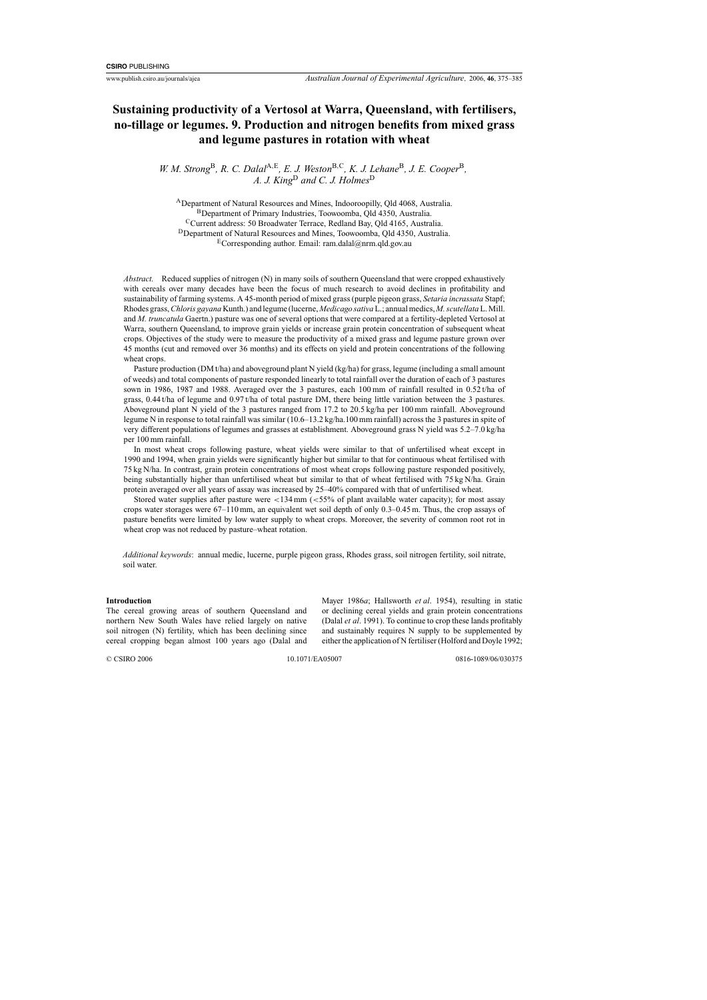# **Sustaining productivity of a Vertosol at Warra, Queensland, with fertilisers, no-tillage or legumes. 9. Production and nitrogen benefits from mixed grass and legume pastures in rotation with wheat**

*W. M. Strong*B*, R. C. Dalal*A,E*, E. J. Weston*B,C*, K. J. Lehane*B*, J. E. Cooper*B*, A. J. King*<sup>D</sup> *and C. J. Holmes*<sup>D</sup>

ADepartment of Natural Resources and Mines, Indooroopilly, Qld 4068, Australia. BDepartment of Primary Industries, Toowoomba, Qld 4350, Australia. CCurrent address: 50 Broadwater Terrace, Redland Bay, Qld 4165, Australia. DDepartment of Natural Resources and Mines, Toowoomba, Qld 4350, Australia. ECorresponding author. Email: ram.dalal@nrm.qld.gov.au

*Abstract.* Reduced supplies of nitrogen (N) in many soils of southern Queensland that were cropped exhaustively with cereals over many decades have been the focus of much research to avoid declines in profitability and sustainability of farming systems. A 45-month period of mixed grass (purple pigeon grass, *Setaria incrassata* Stapf; Rhodes grass,*Chloris gayana* Kunth.) and legume (lucerne, *Medicago sativa*L.; annual medics, *M. scutellata*L.Mill. and *M. truncatula* Gaertn.) pasture was one of several options that were compared at a fertility-depleted Vertosol at Warra, southern Queensland, to improve grain yields or increase grain protein concentration of subsequent wheat crops. Objectives of the study were to measure the productivity of a mixed grass and legume pasture grown over 45 months (cut and removed over 36 months) and its effects on yield and protein concentrations of the following wheat crops.

Pasture production (DM t/ha) and aboveground plant N yield (kg/ha) for grass, legume (including a small amount of weeds) and total components of pasture responded linearly to total rainfall over the duration of each of 3 pastures sown in 1986, 1987 and 1988. Averaged over the 3 pastures, each 100 mm of rainfall resulted in 0.52 t/ha of grass, 0.44 t/ha of legume and 0.97 t/ha of total pasture DM, there being little variation between the 3 pastures. Aboveground plant N yield of the 3 pastures ranged from 17.2 to 20.5 kg/ha per 100 mm rainfall. Aboveground legume N in response to total rainfall was similar (10.6–13.2 kg/ha.100 mm rainfall) across the 3 pastures in spite of very different populations of legumes and grasses at establishment. Aboveground grass N yield was 5.2–7.0 kg/ha per 100 mm rainfall.

In most wheat crops following pasture, wheat yields were similar to that of unfertilised wheat except in 1990 and 1994, when grain yields were significantly higher but similar to that for continuous wheat fertilised with 75 kg N/ha. In contrast, grain protein concentrations of most wheat crops following pasture responded positively, being substantially higher than unfertilised wheat but similar to that of wheat fertilised with 75 kg N/ha. Grain protein averaged over all years of assay was increased by 25–40% compared with that of unfertilised wheat.

Stored water supplies after pasture were  $<$ 134 mm ( $<$ 55% of plant available water capacity); for most assay crops water storages were 67–110 mm, an equivalent wet soil depth of only 0.3–0.45 m. Thus, the crop assays of pasture benefits were limited by low water supply to wheat crops. Moreover, the severity of common root rot in wheat crop was not reduced by pasture–wheat rotation.

*Additional keywords*: annual medic, lucerne, purple pigeon grass, Rhodes grass, soil nitrogen fertility, soil nitrate, soil water.

# **Introduction**

The cereal growing areas of southern Queensland and northern New South Wales have relied largely on native soil nitrogen (N) fertility, which has been declining since cereal cropping began almost 100 years ago ([Dalal and](#page-9-0) Mayer 1986*a*; [Hallsworth](#page-9-0) *et al*. 1954), resulting in static or declining cereal yields and grain protein concentrations (Dalal *et al*[. 1991\).](#page-9-0) To continue to crop these lands profitably and sustainably requires N supply to be supplemented by either the application of N fertiliser [\(Holford and Doyle 1992;](#page-9-0)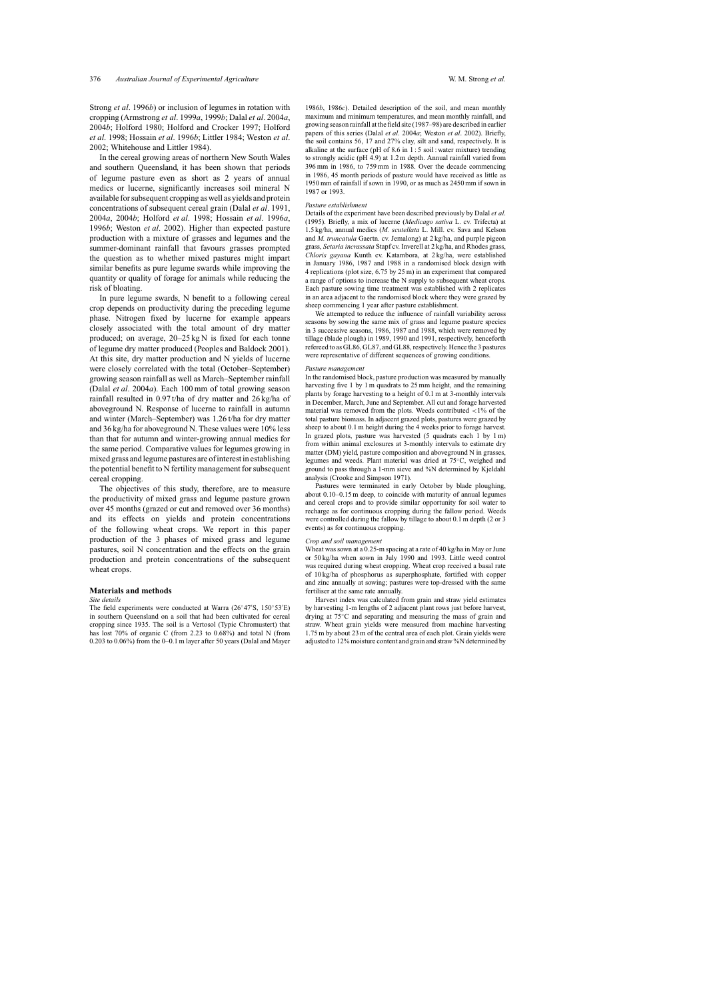[Strong](#page-10-0) *et al*. 1996*b*) or inclusion of legumes in rotation with cropping [\(Armstrong](#page-9-0) *et al*. 1999*a*, [1999](#page-9-0)*b*; Dalal *et al*[. 2004](#page-9-0)*a*, [2004](#page-9-0)*b*; [Holford 1980; Holford and Crocker 1997;](#page-9-0) [Holford](#page-10-0) *et al*. 1998; [Hossain](#page-10-0) *et al*. 1996*b*; [Littler 1984; Weston](#page-10-0) *et al*. 2002; [Whitehouse and Littler 1984\).](#page-10-0)

In the cereal growing areas of northern New South Wales and southern Queensland, it has been shown that periods of legume pasture even as short as 2 years of annual medics or lucerne, significantly increases soil mineral N available for subsequent cropping as well as yields and protein concentrations of subsequent cereal grain (Dalal *et al*[. 1991,](#page-9-0) [2004](#page-9-0)*a*, [2004](#page-9-0)*b*; [Holford](#page-10-0) *et al*. 1998; [Hossain](#page-10-0) *et al*. 1996*a*, [1996](#page-10-0)*b*; [Weston](#page-10-0) *et al*. 2002). Higher than expected pasture production with a mixture of grasses and legumes and the summer-dominant rainfall that favours grasses prompted the question as to whether mixed pastures might impart similar benefits as pure legume swards while improving the quantity or quality of forage for animals while reducing the risk of bloating.

In pure legume swards, N benefit to a following cereal crop depends on productivity during the preceding legume phase. Nitrogen fixed by lucerne for example appears closely associated with the total amount of dry matter produced; on average,  $20-25 \text{ kg N}$  is fixed for each tonne of legume dry matter produced ([Peoples and Baldock 2001\).](#page-10-0) At this site, dry matter production and N yields of lucerne were closely correlated with the total (October–September) growing season rainfall as well as March–September rainfall (Dalal *et al*[. 2004](#page-9-0)*a*). Each 100 mm of total growing season rainfall resulted in 0.97 t/ha of dry matter and 26 kg/ha of aboveground N. Response of lucerne to rainfall in autumn and winter (March–September) was 1.26 t/ha for dry matter and 36 kg/ha for aboveground N. These values were 10% less than that for autumn and winter-growing annual medics for the same period. Comparative values for legumes growing in mixed grass and legume pastures are of interest in establishing the potential benefit to N fertility management for subsequent cereal cropping.

The objectives of this study, therefore, are to measure the productivity of mixed grass and legume pasture grown over 45 months (grazed or cut and removed over 36 months) and its effects on yields and protein concentrations of the following wheat crops. We report in this paper production of the 3 phases of mixed grass and legume pastures, soil N concentration and the effects on the grain production and protein concentrations of the subsequent wheat crops.

# **Materials and methods**

## *Site details*

The field experiments were conducted at Warra  $(26°47'S, 150°53'E)$ in southern Queensland on a soil that had been cultivated for cereal cropping since 1935. The soil is a Vertosol (Typic Chromustert) that has lost 70% of organic C (from 2.23 to 0.68%) and total N (from 0.203 to 0.06%) from the 0–0.1 m layer after 50 years ([Dalal and Mayer](#page-9-0)

1986*b*, [1986](#page-9-0)*c*). Detailed description of the soil, and mean monthly maximum and minimum temperatures, and mean monthly rainfall, and growing season rainfall at the field site (1987–98) are described in earlier papers of this series (Dalal *et al*[. 2004](#page-9-0)*a*; Weston *et al*[. 2002\).](#page-10-0) Briefly, the soil contains 56, 17 and 27% clay, silt and sand, respectively. It is alkaline at the surface (pH of 8.6 in 1 : 5 soil : water mixture) trending to strongly acidic (pH 4.9) at 1.2 m depth. Annual rainfall varied from 396 mm in 1986, to 759 mm in 1988. Over the decade commencing in 1986, 45 month periods of pasture would have received as little as 1950 mm of rainfall if sown in 1990, or as much as 2450 mm if sown in 1987 or 1993.

#### *Pasture establishment*

Details of the experiment have been described previously by [Dalal](#page-9-0) *et al*. (1995). Briefly, a mix of lucerne (*Medicago sativa* L. cv. Trifecta) at 1.5 kg/ha, annual medics (*M. scutellata* L. Mill. cv. Sava and Kelson and *M. truncatula* Gaertn. cv. Jemalong) at 2 kg/ha, and purple pigeon grass, *Setaria incrassata* Stapf cv. Inverell at 2 kg/ha, and Rhodes grass, *Chloris gayana* Kunth cv. Katambora, at 2 kg/ha, were established in January 1986, 1987 and 1988 in a randomised block design with 4 replications (plot size, 6.75 by 25 m) in an experiment that compared a range of options to increase the N supply to subsequent wheat crops. Each pasture sowing time treatment was established with 2 replicates in an area adjacent to the randomised block where they were grazed by sheep commencing 1 year after pasture establishment.

We attempted to reduce the influence of rainfall variability across seasons by sowing the same mix of grass and legume pasture species in 3 successive seasons, 1986, 1987 and 1988, which were removed by tillage (blade plough) in 1989, 1990 and 1991, respectively, henceforth refereed to as GL86, GL87, and GL88, respectively. Hence the 3 pastures were representative of different sequences of growing conditions.

#### *Pasture management*

In the randomised block, pasture production was measured by manually harvesting five 1 by 1 m quadrats to 25 mm height, and the remaining plants by forage harvesting to a height of 0.1 m at 3-monthly intervals in December, March, June and September. All cut and forage harvested material was removed from the plots. Weeds contributed  $\langle 1\%$  of the total pasture biomass. In adjacent grazed plots, pastures were grazed by sheep to about 0.1 m height during the 4 weeks prior to forage harvest. In grazed plots, pasture was harvested (5 quadrats each 1 by 1 m) from within animal exclosures at 3-monthly intervals to estimate dry matter (DM) yield, pasture composition and aboveground N in grasses, legumes and weeds. Plant material was dried at 75◦C, weighed and ground to pass through a 1-mm sieve and %N determined by Kjeldahl analysis ([Crooke and Simpson 1971\).](#page-9-0)

Pastures were terminated in early October by blade ploughing, about 0.10–0.15 m deep, to coincide with maturity of annual legumes and cereal crops and to provide similar opportunity for soil water to recharge as for continuous cropping during the fallow period. Weeds were controlled during the fallow by tillage to about 0.1 m depth (2 or 3 events) as for continuous cropping.

#### *Crop and soil management*

Wheat was sown at a 0.25-m spacing at a rate of 40 kg/ha in May or June or 50 kg/ha when sown in July 1990 and 1993. Little weed control was required during wheat cropping. Wheat crop received a basal rate of 10 kg/ha of phosphorus as superphosphate, fortified with copper and zinc annually at sowing; pastures were top-dressed with the same fertiliser at the same rate annually.

Harvest index was calculated from grain and straw yield estimates by harvesting 1-m lengths of 2 adjacent plant rows just before harvest, drying at 75◦C and separating and measuring the mass of grain and straw. Wheat grain yields were measured from machine harvesting 1.75 m by about 23 m of the central area of each plot. Grain yields were adjusted to 12% moisture content and grain and straw %N determined by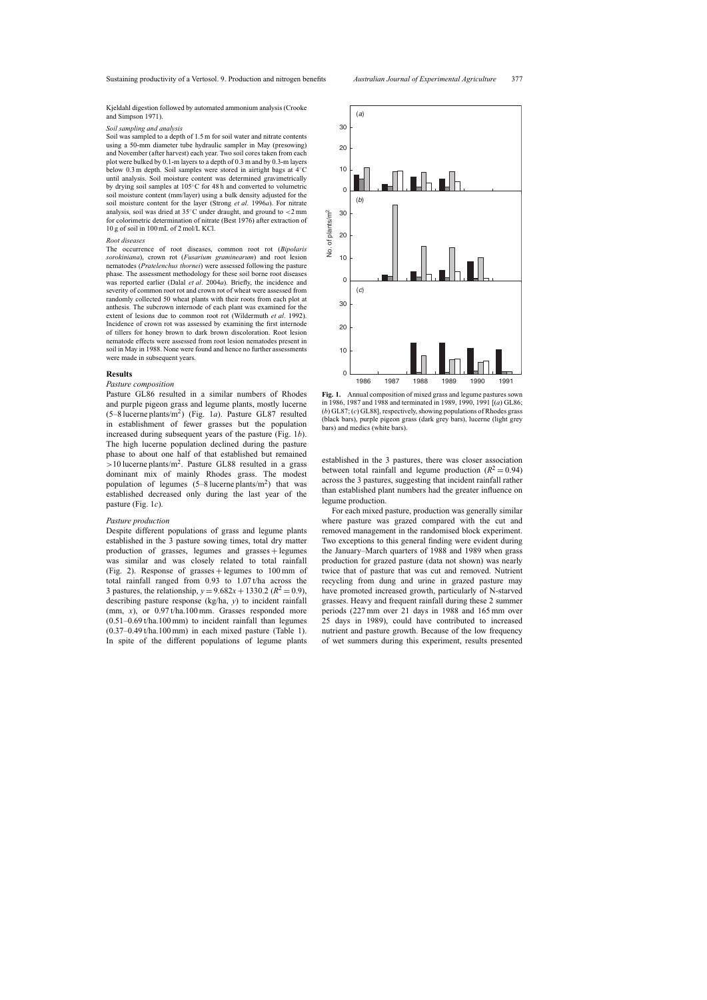Kjeldahl digestion followed by automated ammonium analysis ([Crooke](#page-9-0) and Simpson 1971).

#### *Soil sampling and analysis*

Soil was sampled to a depth of 1.5 m for soil water and nitrate contents using a 50-mm diameter tube hydraulic sampler in May (presowing) and November (after harvest) each year. Two soil cores taken from each plot were bulked by 0.1-m layers to a depth of 0.3 m and by 0.3-m layers below 0.3 m depth. Soil samples were stored in airtight bags at 4◦C until analysis. Soil moisture content was determined gravimetrically by drying soil samples at 105◦C for 48 h and converted to volumetric soil moisture content (mm/layer) using a bulk density adjusted for the soil moisture content for the layer [\(Strong](#page-10-0) *et al*. 1996*a*). For nitrate analysis, soil was dried at 35◦C under draught, and ground to <2 mm for colorimetric determination of nitrate ([Best 1976\) a](#page-9-0)fter extraction of 10 g of soil in 100 mL of 2 mol/L KCl.

#### *Root diseases*

The occurrence of root diseases, common root rot (*Bipolaris sorokiniana*), crown rot (*Fusarium graminearum*) and root lesion nematodes (*Pratelenchus thornei*) were assessed following the pasture phase. The assessment methodology for these soil borne root diseases was reported earlier (Dalal *et al*[. 2004](#page-9-0)*a*). Briefly, the incidence and severity of common root rot and crown rot of wheat were assessed from randomly collected 50 wheat plants with their roots from each plot at anthesis. The subcrown internode of each plant was examined for the extent of lesions due to common root rot ([Wildermuth](#page-10-0) *et al*. 1992). Incidence of crown rot was assessed by examining the first internode of tillers for honey brown to dark brown discoloration. Root lesion nematode effects were assessed from root lesion nematodes present in soil in May in 1988. None were found and hence no further assessments were made in subsequent years.

## **Results**

#### *Pasture composition*

Pasture GL86 resulted in a similar numbers of Rhodes and purple pigeon grass and legume plants, mostly lucerne  $(5–8 \text{ lucerne plants/m}^2)$  (Fig. 1*a*). Pasture GL87 resulted in establishment of fewer grasses but the population increased during subsequent years of the pasture (Fig. 1*b*). The high lucerne population declined during the pasture phase to about one half of that established but remained  $>10$  lucerne plants/m<sup>2</sup>. Pasture GL88 resulted in a grass dominant mix of mainly Rhodes grass. The modest population of legumes  $(5-8 \text{ lucerne plants/m}^2)$  that was established decreased only during the last year of the pasture (Fig. 1*c*).

## *Pasture production*

Despite different populations of grass and legume plants established in the 3 pasture sowing times, total dry matter production of grasses, legumes and grasses  $+$  legumes was similar and was closely related to total rainfall ([Fig. 2\)](#page-3-0). Response of grasses + legumes to  $100 \text{ mm}$  of total rainfall ranged from 0.93 to 1.07 t/ha across the 3 pastures, the relationship,  $y = 9.682x + 1330.2$  ( $R^2 = 0.9$ ), describing pasture response (kg/ha, *y*) to incident rainfall (mm, *x*), or 0.97 t/ha.100 mm. Grasses responded more  $(0.51-0.69 t/ha.100 mm)$  to incident rainfall than legumes (0.37–0.49 t/ha.100 mm) in each mixed pasture ([Table 1\)](#page-3-0). In spite of the different populations of legume plants



in 1986, 1987 and 1988 and terminated in 1989, 1990, 1991 [(*a*) GL86; (*b*) GL87; (*c*) GL88], respectively, showing populations of Rhodes grass (black bars), purple pigeon grass (dark grey bars), lucerne (light grey bars) and medics (white bars).

established in the 3 pastures, there was closer association between total rainfall and legume production  $(R^2 = 0.94)$ across the 3 pastures, suggesting that incident rainfall rather than established plant numbers had the greater influence on legume production.

For each mixed pasture, production was generally similar where pasture was grazed compared with the cut and removed management in the randomised block experiment. Two exceptions to this general finding were evident during the January–March quarters of 1988 and 1989 when grass production for grazed pasture (data not shown) was nearly twice that of pasture that was cut and removed. Nutrient recycling from dung and urine in grazed pasture may have promoted increased growth, particularly of N-starved grasses. Heavy and frequent rainfall during these 2 summer periods (227 mm over 21 days in 1988 and 165 mm over 25 days in 1989), could have contributed to increased nutrient and pasture growth. Because of the low frequency of wet summers during this experiment, results presented

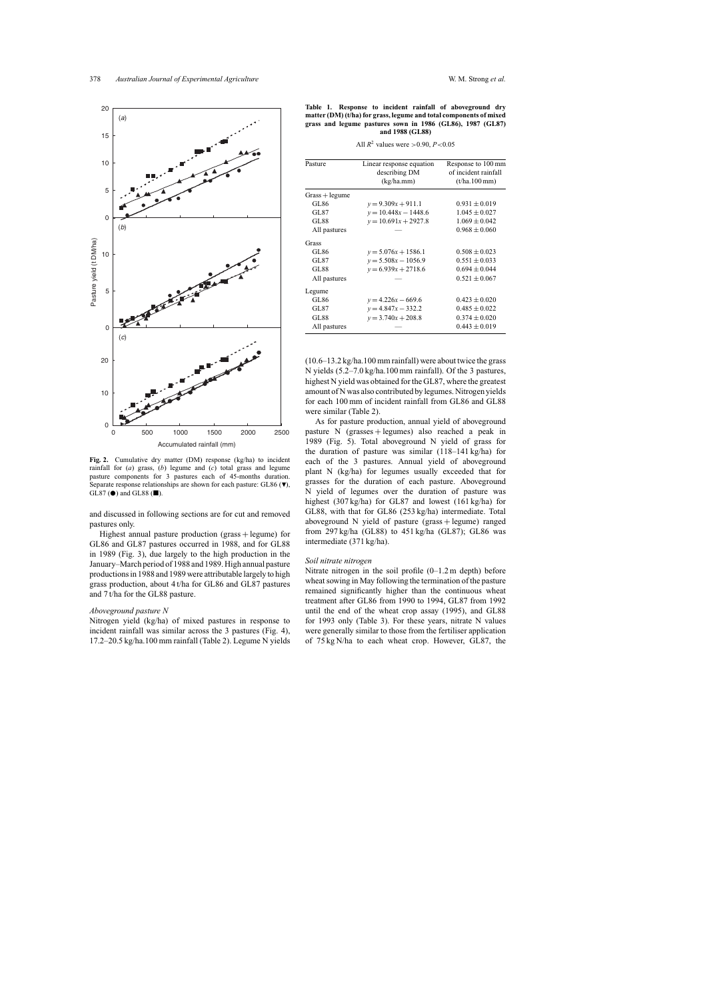<span id="page-3-0"></span>

**Fig. 2.** Cumulative dry matter (DM) response (kg/ha) to incident rainfall for (*a*) grass, (*b*) legume and (*c*) total grass and legume pasture components for 3 pastures each of 45-months duration. Separate response relationships are shown for each pasture: GL86  $(\blacktriangledown)$ ,  $GL87$  ( $\bullet$ ) and GL88 ( $\blacksquare$ ).

and discussed in following sections are for cut and removed pastures only.

Highest annual pasture production ( $grass + legume$ ) for GL86 and GL87 pastures occurred in 1988, and for GL88 in 1989 ([Fig. 3\),](#page-4-0) due largely to the high production in the January–March period of 1988 and 1989. High annual pasture productions in 1988 and 1989 were attributable largely to high grass production, about 4 t/ha for GL86 and GL87 pastures and 7 t/ha for the GL88 pasture.

# *Aboveground pasture N*

Nitrogen yield (kg/ha) of mixed pastures in response to incident rainfall was similar across the 3 pastures ([Fig. 4\),](#page-4-0) 17.2–20.5 kg/ha.100 mm rainfall [\(Table 2\).](#page-5-0) Legume N yields **Table 1. Response to incident rainfall of aboveground dry matter (DM) (t/ha) for grass, legume and total components of mixed grass and legume pastures sown in 1986 (GL86), 1987 (GL87) and 1988 (GL88)**

|  | All $R^2$ values were > 0.90, $P < 0.05$ |
|--|------------------------------------------|
|--|------------------------------------------|

| Pasture          | Linear response equation | Response to 100 mm   |
|------------------|--------------------------|----------------------|
|                  | describing DM            | of incident rainfall |
|                  | (kg/ha.mm)               | (t/ha.100 mm)        |
| $Grass + legume$ |                          |                      |
| GL86             | $y = 9.309x + 911.1$     | $0.931 \pm 0.019$    |
| <b>GL87</b>      | $y = 10.448x - 1448.6$   | $1.045 \pm 0.027$    |
| GL88             | $v = 10.691x + 2927.8$   | $1.069 \pm 0.042$    |
| All pastures     |                          | $0.968 \pm 0.060$    |
| Grass            |                          |                      |
| GL 86            | $y = 5.076x + 1586.1$    | $0.508 \pm 0.023$    |
| GL87             | $y = 5.508x - 1056.9$    | $0.551 \pm 0.033$    |
| GL88             | $y = 6.939x + 2718.6$    | $0.694 \pm 0.044$    |
| All pastures     |                          | $0.521 \pm 0.067$    |
| Legume           |                          |                      |
| GL 86            | $y = 4.226x - 669.6$     | $0.423 \pm 0.020$    |
| <b>GL87</b>      | $y = 4.847x - 332.2$     | $0.485 \pm 0.022$    |
| GL88             | $y = 3.740x + 208.8$     | $0.374 \pm 0.020$    |
| All pastures     |                          | $0.443 \pm 0.019$    |

 $(10.6–13.2 \text{ kg/ha}.100 \text{ mm rainfall})$  were about twice the grass N yields (5.2–7.0 kg/ha.100 mm rainfall). Of the 3 pastures, highest N yield was obtained for the GL87, where the greatest amount of N was also contributed by legumes. Nitrogen yields for each 100 mm of incident rainfall from GL86 and GL88 were similar ([Table 2\).](#page-5-0)

As for pasture production, annual yield of aboveground pasture N (grasses + legumes) also reached a peak in 1989 [\(Fig. 5\)](#page-5-0). Total aboveground N yield of grass for the duration of pasture was similar (118–141 kg/ha) for each of the 3 pastures. Annual yield of aboveground plant N (kg/ha) for legumes usually exceeded that for grasses for the duration of each pasture. Aboveground N yield of legumes over the duration of pasture was highest (307 kg/ha) for GL87 and lowest (161 kg/ha) for GL88, with that for GL86 (253 kg/ha) intermediate. Total aboveground N yield of pasture (grass  $+$  legume) ranged from 297 kg/ha (GL88) to 451 kg/ha (GL87); GL86 was intermediate (371 kg/ha).

#### *Soil nitrate nitrogen*

Nitrate nitrogen in the soil profile (0–1.2 m depth) before wheat sowing in May following the termination of the pasture remained significantly higher than the continuous wheat treatment after GL86 from 1990 to 1994, GL87 from 1992 until the end of the wheat crop assay (1995), and GL88 for 1993 only ([Table 3\).](#page-5-0) For these years, nitrate N values were generally similar to those from the fertiliser application of 75 kg N/ha to each wheat crop. However, GL87, the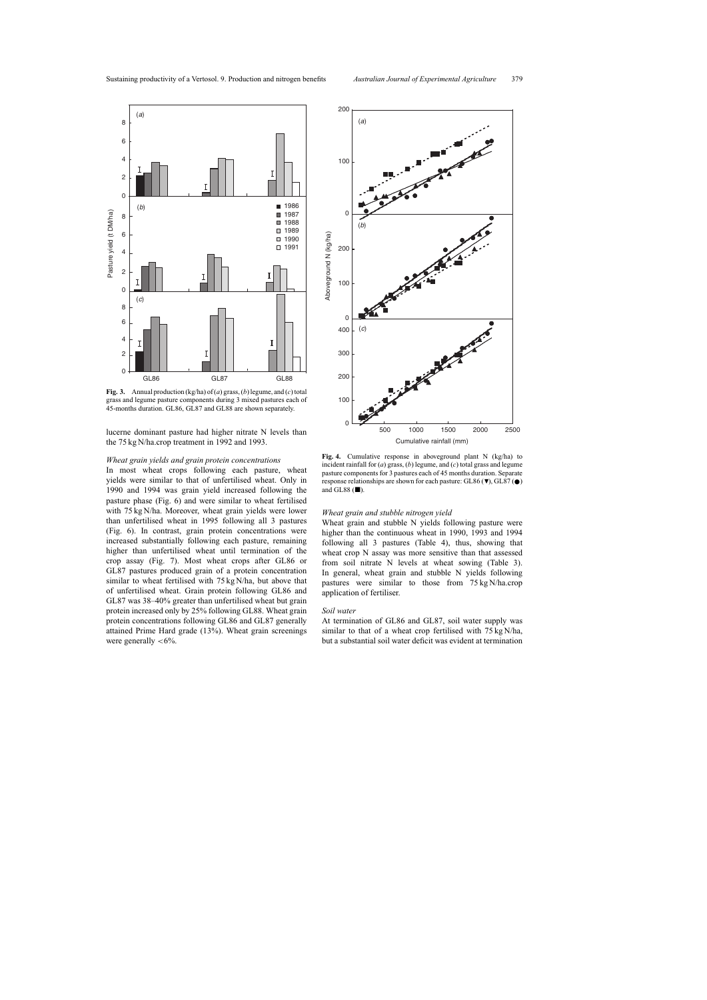<span id="page-4-0"></span>

**Fig. 3.** Annual production  $(kg/ha)$  of  $(a)$  grass,  $(b)$  legume, and  $(c)$  total grass and legume pasture components during 3 mixed pastures each of 45-months duration. GL86, GL87 and GL88 are shown separately.

lucerne dominant pasture had higher nitrate N levels than the 75 kg N/ha.crop treatment in 1992 and 1993.

#### *Wheat grain yields and grain protein concentrations*

In most wheat crops following each pasture, wheat yields were similar to that of unfertilised wheat. Only in 1990 and 1994 was grain yield increased following the pasture phase ([Fig. 6\)](#page-6-0) and were similar to wheat fertilised with 75 kg N/ha. Moreover, wheat grain yields were lower than unfertilised wheat in 1995 following all 3 pastures ([Fig. 6\)](#page-6-0). In contrast, grain protein concentrations were increased substantially following each pasture, remaining higher than unfertilised wheat until termination of the crop assay [\(Fig. 7\)](#page-6-0). Most wheat crops after GL86 or GL87 pastures produced grain of a protein concentration similar to wheat fertilised with 75 kg N/ha, but above that of unfertilised wheat. Grain protein following GL86 and GL87 was 38–40% greater than unfertilised wheat but grain protein increased only by 25% following GL88. Wheat grain protein concentrations following GL86 and GL87 generally attained Prime Hard grade (13%). Wheat grain screenings were generally  $<6\%$ .



**Fig. 4.** Cumulative response in aboveground plant N (kg/ha) to incident rainfall for (*a*) grass, (*b*) legume, and (*c*) total grass and legume pasture components for 3 pastures each of 45 months duration. Separate response relationships are shown for each pasture: GL86 ( $\nabla$ ), GL87 ( $\odot$ ) and GL88  $(\blacksquare)$ .

# *Wheat grain and stubble nitrogen yield*

Wheat grain and stubble N yields following pasture were higher than the continuous wheat in 1990, 1993 and 1994 following all 3 pastures ([Table 4\)](#page-6-0), thus, showing that wheat crop N assay was more sensitive than that assessed from soil nitrate N levels at wheat sowing [\(Table 3\)](#page-5-0). In general, wheat grain and stubble N yields following pastures were similar to those from 75 kg N/ha.crop application of fertiliser.

# *Soil water*

At termination of GL86 and GL87, soil water supply was similar to that of a wheat crop fertilised with 75 kg N/ha, but a substantial soil water deficit was evident at termination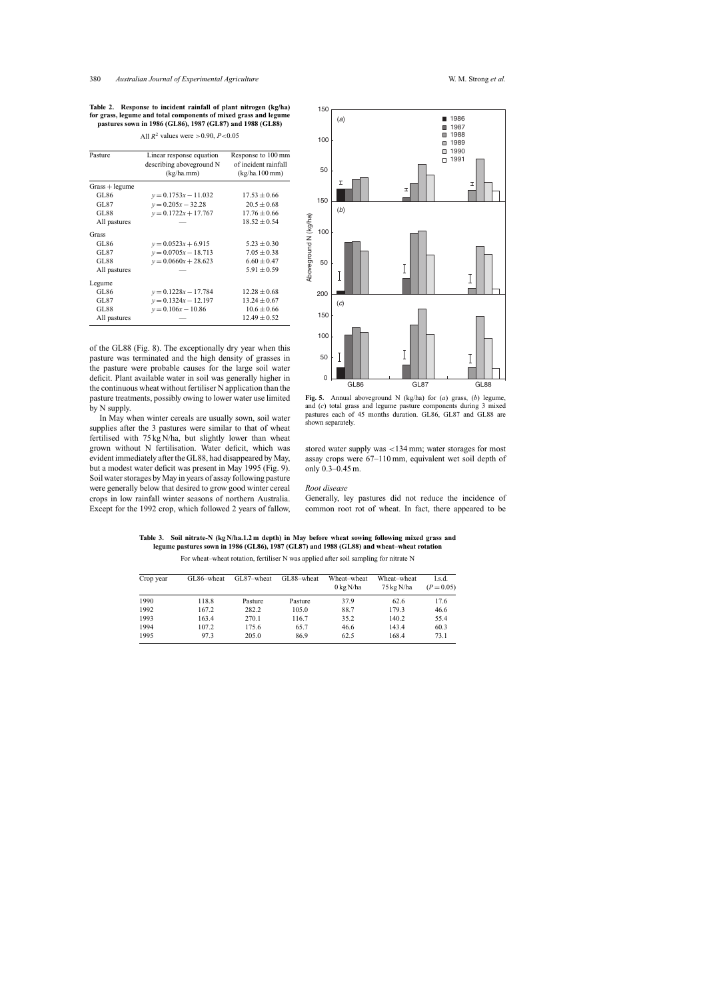<span id="page-5-0"></span>**Table 2. Response to incident rainfall of plant nitrogen (kg/ha) for grass, legume and total components of mixed grass and legume pastures sown in 1986 (GL86), 1987 (GL87) and 1988 (GL88)**

| All $R^2$ values were > 0.90, $P < 0.05$ |  |  |
|------------------------------------------|--|--|
|------------------------------------------|--|--|

| Pasture          | Linear response equation<br>describing aboveground N<br>(kg/ha.mm) | Response to 100 mm<br>of incident rainfall<br>(kg/ha.100 mm) |  |  |
|------------------|--------------------------------------------------------------------|--------------------------------------------------------------|--|--|
| $Grass + legume$ |                                                                    |                                                              |  |  |
| GL86             | $y = 0.1753x - 11.032$                                             | $17.53 \pm 0.66$                                             |  |  |
| GL87             | $y = 0.205x - 32.28$                                               | $20.5 \pm 0.68$                                              |  |  |
| GL88             | $y = 0.1722x + 17.767$                                             | $17.76 \pm 0.66$                                             |  |  |
| All pastures     |                                                                    | $18.52 \pm 0.54$                                             |  |  |
| Grass            |                                                                    |                                                              |  |  |
| GL86             | $y = 0.0523x + 6.915$                                              | $5.23 \pm 0.30$                                              |  |  |
| GL87             | $y = 0.0705x - 18.713$                                             | $7.05 \pm 0.38$                                              |  |  |
| GL88             | $v = 0.0660x + 28.623$                                             | $6.60 \pm 0.47$                                              |  |  |
| All pastures     |                                                                    | $5.91 \pm 0.59$                                              |  |  |
| Legume           |                                                                    |                                                              |  |  |
| GL 86            | $y = 0.1228x - 17.784$                                             | $12.28 \pm 0.68$                                             |  |  |
| GL87             | $v = 0.1324x - 12.197$                                             | $13.24 \pm 0.67$                                             |  |  |
| GL88             | $y = 0.106x - 10.86$                                               | $10.6 \pm 0.66$                                              |  |  |
| All pastures     |                                                                    | $12.49 \pm 0.52$                                             |  |  |
|                  |                                                                    |                                                              |  |  |

of the GL88 ([Fig. 8\).](#page-7-0) The exceptionally dry year when this pasture was terminated and the high density of grasses in the pasture were probable causes for the large soil water deficit. Plant available water in soil was generally higher in the continuous wheat without fertiliser N application than the pasture treatments, possibly owing to lower water use limited by N supply.

In May when winter cereals are usually sown, soil water supplies after the 3 pastures were similar to that of wheat fertilised with 75 kg N/ha, but slightly lower than wheat grown without N fertilisation. Water deficit, which was evident immediately after the GL88, had disappeared by May, but a modest water deficit was present in May 1995 ([Fig. 9\).](#page-7-0) Soil water storages by May in years of assay following pasture were generally below that desired to grow good winter cereal crops in low rainfall winter seasons of northern Australia. Except for the 1992 crop, which followed 2 years of fallow,



**Fig. 5.** Annual aboveground N (kg/ha) for (*a*) grass, (*b*) legume, and (*c*) total grass and legume pasture components during 3 mixed pastures each of 45 months duration. GL86, GL87 and GL88 are shown separately.

stored water supply was <134 mm; water storages for most assay crops were 67–110 mm, equivalent wet soil depth of only 0.3–0.45 m.

#### *Root disease*

150

Generally, ley pastures did not reduce the incidence of common root rot of wheat. In fact, there appeared to be

**Table 3. Soil nitrate-N (kg N/ha.1.2 m depth) in May before wheat sowing following mixed grass and legume pastures sown in 1986 (GL86), 1987 (GL87) and 1988 (GL88) and wheat–wheat rotation**

For wheat–wheat rotation, fertiliser N was applied after soil sampling for nitrate N

| Crop year | GL86-wheat | GL87-wheat | GL88-wheat | Wheat-wheat<br>$0 \text{ kg N/ha}$ | Wheat-wheat<br>75 kg N/ha | $1$ .s.d.<br>$(P = 0.05)$ |
|-----------|------------|------------|------------|------------------------------------|---------------------------|---------------------------|
| 1990      | 118.8      | Pasture    | Pasture    | 37.9                               | 62.6                      | 17.6                      |
| 1992      | 167.2      | 282.2      | 105.0      | 88.7                               | 179.3                     | 46.6                      |
| 1993      | 163.4      | 270.1      | 116.7      | 35.2                               | 140.2                     | 55.4                      |
| 1994      | 107.2      | 175.6      | 65.7       | 46.6                               | 143.4                     | 60.3                      |
| 1995      | 97.3       | 205.0      | 86.9       | 62.5                               | 168.4                     | 73.1                      |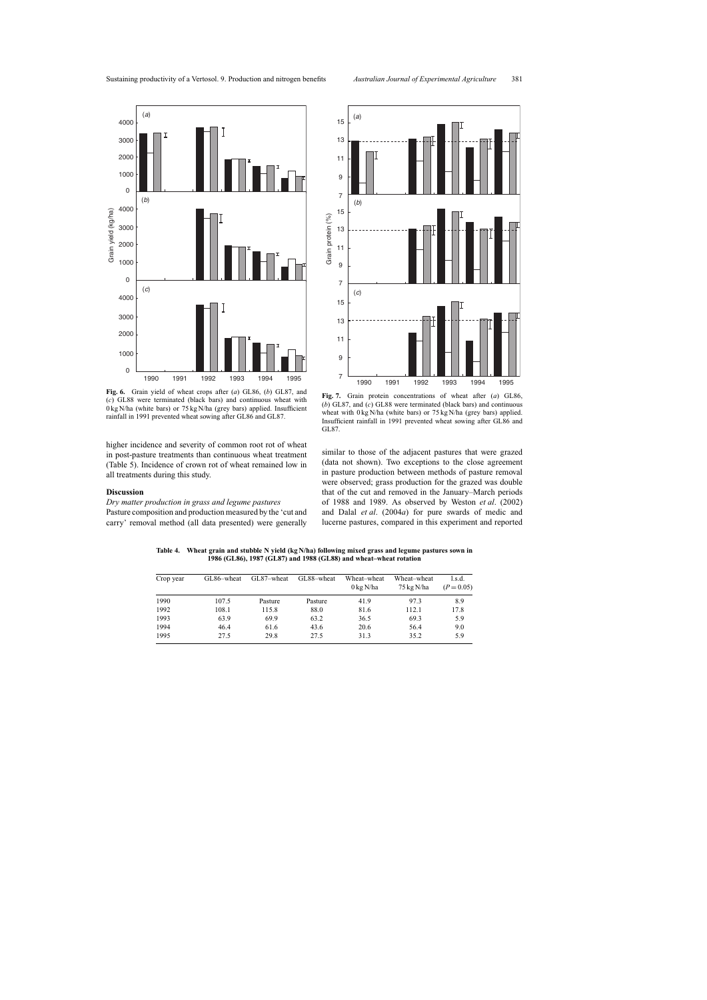

<span id="page-6-0"></span>

**Fig. 6.** Grain yield of wheat crops after (*a*) GL86, (*b*) GL87, and (*c*) GL88 were terminated (black bars) and continuous wheat with 0 kg N/ha (white bars) or 75 kg N/ha (grey bars) applied. Insufficient rainfall in 1991 prevented wheat sowing after GL86 and GL87.

higher incidence and severity of common root rot of wheat in post-pasture treatments than continuous wheat treatment ([Table 5\).](#page-7-0) Incidence of crown rot of wheat remained low in all treatments during this study.

# **Discussion**

*Dry matter production in grass and legume pastures* Pasture composition and production measured by the 'cut and carry' removal method (all data presented) were generally



**Fig. 7.** Grain protein concentrations of wheat after (*a*) GL86, (*b*) GL87, and (*c*) GL88 were terminated (black bars) and continuous wheat with 0 kg N/ha (white bars) or 75 kg N/ha (grey bars) applied. Insufficient rainfall in 1991 prevented wheat sowing after GL86 and GL87.

similar to those of the adjacent pastures that were grazed (data not shown). Two exceptions to the close agreement in pasture production between methods of pasture removal were observed; grass production for the grazed was double that of the cut and removed in the January–March periods of 1988 and 1989. As observed by Weston *et al*[. \(2002\)](#page-10-0) and Dalal *et al*[. \(2004](#page-9-0)*a*) for pure swards of medic and lucerne pastures, compared in this experiment and reported

**Table 4. Wheat grain and stubble N yield (kg N/ha) following mixed grass and legume pastures sown in 1986 (GL86), 1987 (GL87) and 1988 (GL88) and wheat–wheat rotation**

| Crop year | GL86-wheat | GL87-wheat | GL88-wheat | Wheat-wheat<br>$0 \text{ kg N/ha}$ | Wheat-wheat<br>75 kg N/ha | $1$ .s.d.<br>$(P = 0.05)$ |
|-----------|------------|------------|------------|------------------------------------|---------------------------|---------------------------|
| 1990      | 107.5      | Pasture    | Pasture    | 41.9                               | 97.3                      | 8.9                       |
| 1992      | 108.1      | 115.8      | 88.0       | 81.6                               | 112.1                     | 17.8                      |
| 1993      | 63.9       | 69.9       | 63.2       | 36.5                               | 69.3                      | 5.9                       |
| 1994      | 46.4       | 61.6       | 43.6       | 20.6                               | 56.4                      | 9.0                       |
| 1995      | 27.5       | 29.8       | 27.5       | 31.3                               | 35.2                      | 5.9                       |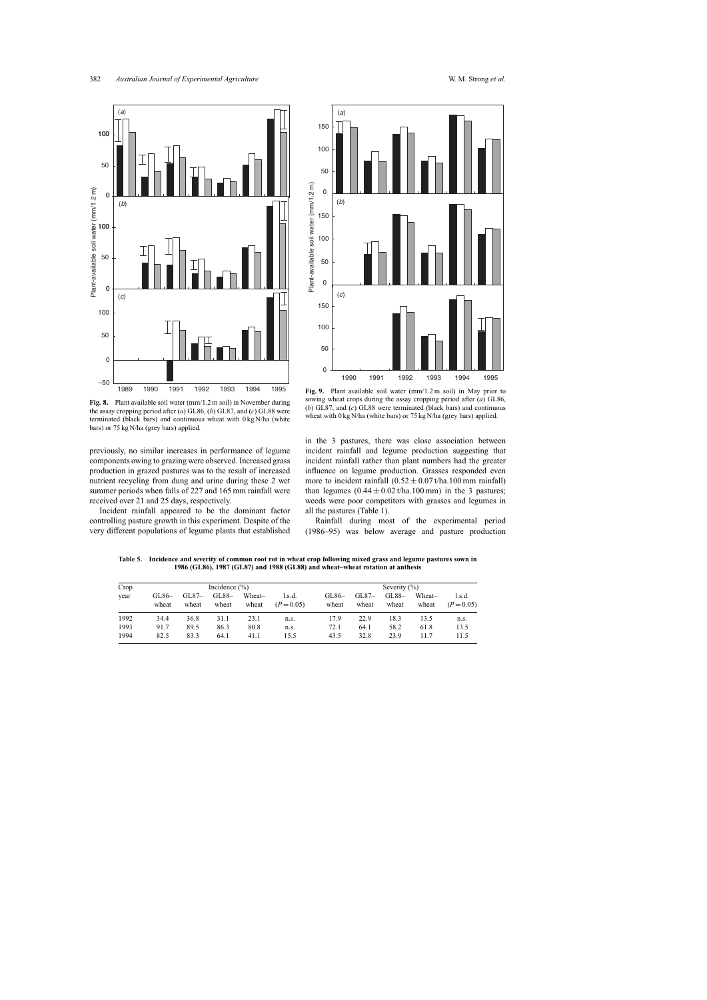<span id="page-7-0"></span>

**Fig. 8.** Plant available soil water (mm/1.2 m soil) in November during the assay cropping period after (*a*) GL86, (*b*) GL87, and (*c*) GL88 were terminated (black bars) and continuous wheat with 0 kg N/ha (white bars) or 75 kg N/ha (grey bars) applied.

previously, no similar increases in performance of legume components owing to grazing were observed. Increased grass production in grazed pastures was to the result of increased nutrient recycling from dung and urine during these 2 wet summer periods when falls of 227 and 165 mm rainfall were received over 21 and 25 days, respectively.

Incident rainfall appeared to be the dominant factor controlling pasture growth in this experiment. Despite of the very different populations of legume plants that established



**Fig. 9.** Plant available soil water (mm/1.2 m soil) in May prior to sowing wheat crops during the assay cropping period after (*a*) GL86, (*b*) GL87, and (*c*) GL88 were terminated (black bars) and continuous wheat with 0 kg N/ha (white bars) or 75 kg N/ha (grey bars) applied.

in the 3 pastures, there was close association between incident rainfall and legume production suggesting that incident rainfall rather than plant numbers had the greater influence on legume production. Grasses responded even more to incident rainfall  $(0.52 \pm 0.07 t / ha.100 \text{ mm}$  rainfall) than legumes  $(0.44 \pm 0.02 \text{ t/ha.100 mm})$  in the 3 pastures; weeds were poor competitors with grasses and legumes in all the pastures [\(Table 1\).](#page-3-0)

Rainfall during most of the experimental period (1986–95) was below average and pasture production

**Table 5. Incidence and severity of common root rot in wheat crop following mixed grass and legume pastures sown in 1986 (GL86), 1987 (GL87) and 1988 (GL88) and wheat–wheat rotation at anthesis**

| Crop |         | Incidence $(\% )$ |       |        |              |       | Severity $(\% )$ |       |        |              |
|------|---------|-------------------|-------|--------|--------------|-------|------------------|-------|--------|--------------|
| year | $GL86-$ | GL87–             | GL88– | Wheat- | l.s.d.       | GL86- | GL87-            | GL88– | Wheat- | l.s.d.       |
|      | wheat   | wheat             | wheat | wheat  | $(P = 0.05)$ | wheat | wheat            | wheat | wheat  | $(P = 0.05)$ |
| 1992 | 34.4    | 36.8              | 31.1  | 23.1   | n.s.         | 17.9  | 22.9             | 18.3  | 13.5   | n.s.         |
| 1993 | 91.7    | 89.5              | 86.3  | 80.8   | n.s.         | 72.1  | 64.1             | 58.2  | 61.8   | 13.5         |
| 1994 | 82.5    | 83.3              | 64.1  | 41.1   | 15.5         | 43.5  | 32.8             | 23.9  | 11.7   | 11.5         |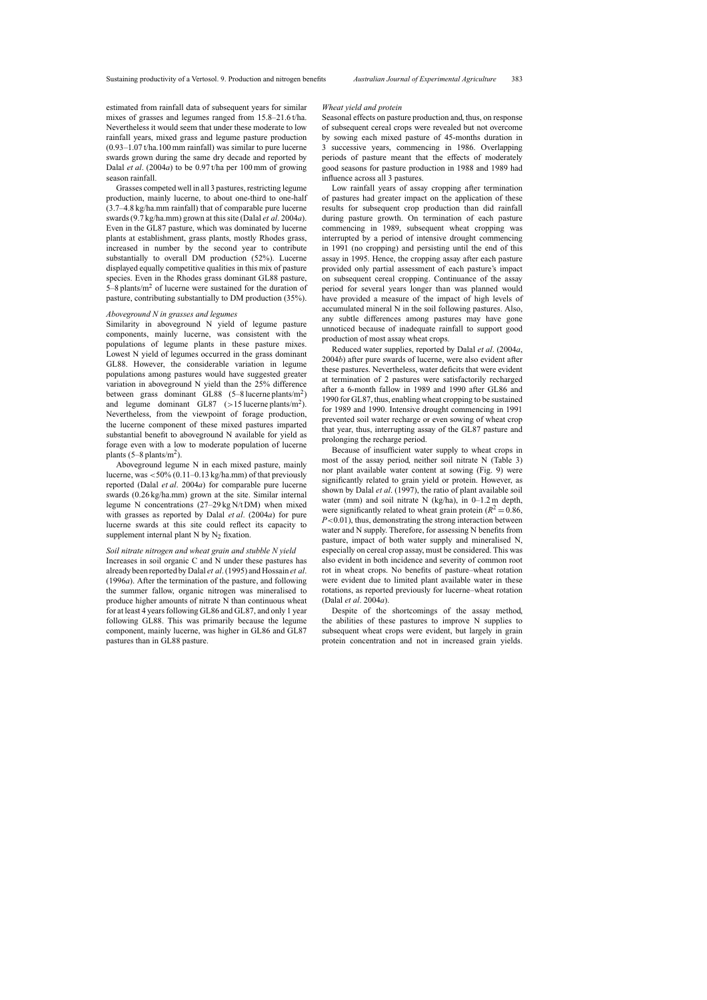estimated from rainfall data of subsequent years for similar mixes of grasses and legumes ranged from 15.8–21.6 t/ha. Nevertheless it would seem that under these moderate to low rainfall years, mixed grass and legume pasture production (0.93–1.07 t/ha.100 mm rainfall) was similar to pure lucerne swards grown during the same dry decade and reported by Dalal *et al*[. \(2004](#page-9-0)*a*) to be 0.97 t/ha per 100 mm of growing season rainfall.

Grasses competed well in all 3 pastures, restricting legume production, mainly lucerne, to about one-third to one-half (3.7–4.8 kg/ha.mm rainfall) that of comparable pure lucerne swards (9.7 kg/ha.mm) grown at this site (Dalal *et al*[. 2004](#page-9-0)*a*). Even in the GL87 pasture, which was dominated by lucerne plants at establishment, grass plants, mostly Rhodes grass, increased in number by the second year to contribute substantially to overall DM production (52%). Lucerne displayed equally competitive qualities in this mix of pasture species. Even in the Rhodes grass dominant GL88 pasture,  $5-8$  plants/m<sup>2</sup> of lucerne were sustained for the duration of pasture, contributing substantially to DM production (35%).

## *Aboveground N in grasses and legumes*

Similarity in aboveground N yield of legume pasture components, mainly lucerne, was consistent with the populations of legume plants in these pasture mixes. Lowest N yield of legumes occurred in the grass dominant GL88. However, the considerable variation in legume populations among pastures would have suggested greater variation in aboveground N yield than the 25% difference between grass dominant GL88  $(5-8 \text{ lucerne plants/m}^2)$ and legume dominant GL87  $(>15$  lucerne plants/m<sup>2</sup>). Nevertheless, from the viewpoint of forage production, the lucerne component of these mixed pastures imparted substantial benefit to aboveground N available for yield as forage even with a low to moderate population of lucerne plants  $(5-8 \text{ plants/m}^2)$ .

Aboveground legume N in each mixed pasture, mainly lucerne, was  $\langle 50\% (0.11-0.13 \text{ kg/ha}.) \rangle$  of that previously reported (Dalal *et al*[. 2004](#page-9-0)*a*) for comparable pure lucerne swards (0.26 kg/ha.mm) grown at the site. Similar internal legume N concentrations (27–29 kg N/t DM) when mixed with grasses as reported by Dalal *et al*[. \(2004](#page-9-0)*a*) for pure lucerne swards at this site could reflect its capacity to supplement internal plant N by  $N_2$  fixation.

#### *Soil nitrate nitrogen and wheat grain and stubble N yield*

Increases in soil organic C and N under these pastures has already been reported by Dalal *et al*[. \(1995\) an](#page-9-0)d [Hossain](#page-10-0) *et al*. (1996*a*). After the termination of the pasture, and following the summer fallow, organic nitrogen was mineralised to produce higher amounts of nitrate N than continuous wheat for at least 4 years following GL86 and GL87, and only 1 year following GL88. This was primarily because the legume component, mainly lucerne, was higher in GL86 and GL87 pastures than in GL88 pasture.

# *Wheat yield and protein*

Seasonal effects on pasture production and, thus, on response of subsequent cereal crops were revealed but not overcome by sowing each mixed pasture of 45-months duration in 3 successive years, commencing in 1986. Overlapping periods of pasture meant that the effects of moderately good seasons for pasture production in 1988 and 1989 had influence across all 3 pastures.

Low rainfall years of assay cropping after termination of pastures had greater impact on the application of these results for subsequent crop production than did rainfall during pasture growth. On termination of each pasture commencing in 1989, subsequent wheat cropping was interrupted by a period of intensive drought commencing in 1991 (no cropping) and persisting until the end of this assay in 1995. Hence, the cropping assay after each pasture provided only partial assessment of each pasture's impact on subsequent cereal cropping. Continuance of the assay period for several years longer than was planned would have provided a measure of the impact of high levels of accumulated mineral N in the soil following pastures. Also, any subtle differences among pastures may have gone unnoticed because of inadequate rainfall to support good production of most assay wheat crops.

Reduced water supplies, reported by Dalal *et al*[. \(2004](#page-9-0)*a*, [2004](#page-9-0)*b*) after pure swards of lucerne, were also evident after these pastures. Nevertheless, water deficits that were evident at termination of 2 pastures were satisfactorily recharged after a 6-month fallow in 1989 and 1990 after GL86 and 1990 for GL87, thus, enabling wheat cropping to be sustained for 1989 and 1990. Intensive drought commencing in 1991 prevented soil water recharge or even sowing of wheat crop that year, thus, interrupting assay of the GL87 pasture and prolonging the recharge period.

Because of insufficient water supply to wheat crops in most of the assay period, neither soil nitrate N [\(Table 3\)](#page-5-0) nor plant available water content at sowing [\(Fig. 9\)](#page-7-0) were significantly related to grain yield or protein. However, as shown by Dalal *et al*[. \(1997\), t](#page-9-0)he ratio of plant available soil water (mm) and soil nitrate N (kg/ha), in 0–1.2 m depth, were significantly related to wheat grain protein  $(R^2 = 0.86$ , *P*<0.01), thus, demonstrating the strong interaction between water and N supply. Therefore, for assessing N benefits from pasture, impact of both water supply and mineralised N, especially on cereal crop assay, must be considered. This was also evident in both incidence and severity of common root rot in wheat crops. No benefits of pasture–wheat rotation were evident due to limited plant available water in these rotations, as reported previously for lucerne–wheat rotation (Dalal *et al*[. 2004](#page-9-0)*a*).

Despite of the shortcomings of the assay method, the abilities of these pastures to improve N supplies to subsequent wheat crops were evident, but largely in grain protein concentration and not in increased grain yields.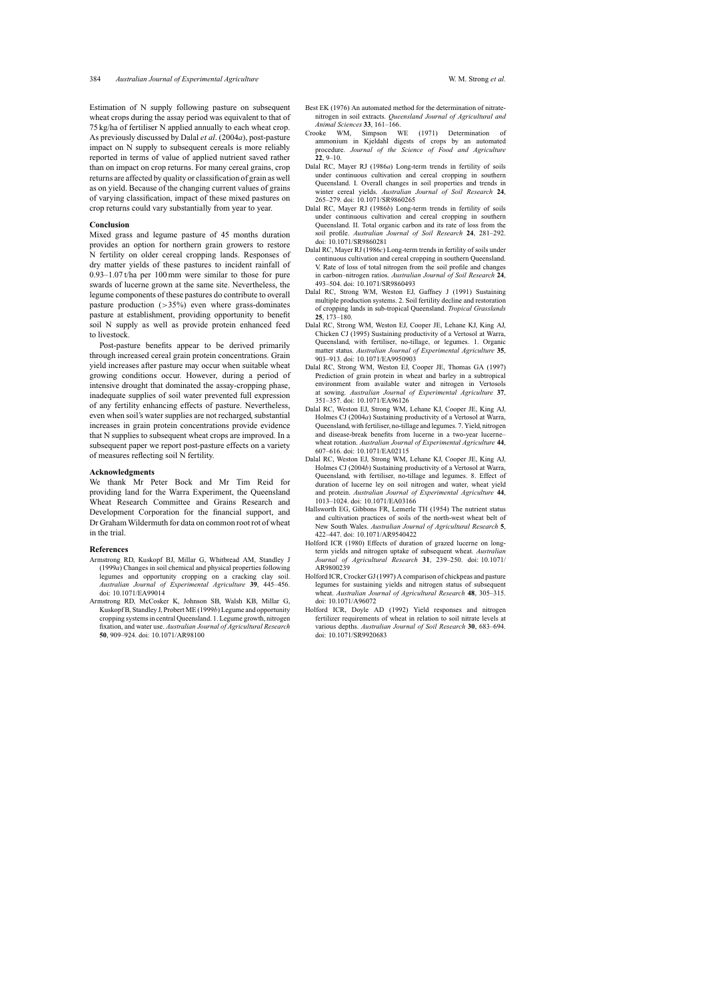<span id="page-9-0"></span>Estimation of N supply following pasture on subsequent wheat crops during the assay period was equivalent to that of 75 kg/ha of fertiliser N applied annually to each wheat crop. As previously discussed by Dalal *et al*. (2004*a*), post-pasture impact on N supply to subsequent cereals is more reliably reported in terms of value of applied nutrient saved rather than on impact on crop returns. For many cereal grains, crop returns are affected by quality or classification of grain as well as on yield. Because of the changing current values of grains of varying classification, impact of these mixed pastures on crop returns could vary substantially from year to year.

## **Conclusion**

Mixed grass and legume pasture of 45 months duration provides an option for northern grain growers to restore N fertility on older cereal cropping lands. Responses of dry matter yields of these pastures to incident rainfall of 0.93–1.07 t/ha per 100 mm were similar to those for pure swards of lucerne grown at the same site. Nevertheless, the legume components of these pastures do contribute to overall pasture production  $(>35%)$  even where grass-dominates pasture at establishment, providing opportunity to benefit soil N supply as well as provide protein enhanced feed to livestock.

Post-pasture benefits appear to be derived primarily through increased cereal grain protein concentrations. Grain yield increases after pasture may occur when suitable wheat growing conditions occur. However, during a period of intensive drought that dominated the assay-cropping phase, inadequate supplies of soil water prevented full expression of any fertility enhancing effects of pasture. Nevertheless, even when soil's water supplies are not recharged, substantial increases in grain protein concentrations provide evidence that N supplies to subsequent wheat crops are improved. In a subsequent paper we report post-pasture effects on a variety of measures reflecting soil N fertility.

# **Acknowledgments**

We thank Mr Peter Bock and Mr Tim Reid for providing land for the Warra Experiment, the Queensland Wheat Research Committee and Grains Research and Development Corporation for the financial support, and Dr Graham Wildermuth for data on common root rot of wheat in the trial.

# **References**

- Armstrong RD, Kuskopf BJ, Millar G, Whitbread AM, Standley J (1999*a*) Changes in soil chemical and physical properties following legumes and opportunity cropping on a cracking clay soil. *Australian Journal of Experimental Agriculture* **39**, 445–456. doi: 10.1071/EA99014
- Armstrong RD, McCosker K, Johnson SB, Walsh KB, Millar G, Kuskopf B, Standley J, Probert ME (1999*b*) Legume and opportunity cropping systems in central Queensland. 1. Legume growth, nitrogen fixation, and water use. *Australian Journal of Agricultural Research* **50**, 909–924. doi: 10.1071/AR98100
- Best EK (1976) An automated method for the determination of nitratenitrogen in soil extracts. *Queensland Journal of Agricultural and Animal Sciences* **33**, 161–166.
- Crooke WM, Simpson WE (1971) Determination of ammonium in Kjeldahl digests of crops by an automated procedure. *Journal of the Science of Food and Agriculture* **22**, 9–10.
- Dalal RC, Mayer RJ (1986*a*) Long-term trends in fertility of soils under continuous cultivation and cereal cropping in southern Queensland. I. Overall changes in soil properties and trends in winter cereal yields. *Australian Journal of Soil Research* **24**, 265–279. doi: 10.1071/SR9860265
- Dalal RC, Mayer RJ (1986*b*) Long-term trends in fertility of soils under continuous cultivation and cereal cropping in southern Queensland. II. Total organic carbon and its rate of loss from the soil profile. *Australian Journal of Soil Research* **24**, 281–292. doi: 10.1071/SR9860281
- Dalal RC, Mayer RJ (1986*c*) Long-term trends in fertility of soils under continuous cultivation and cereal cropping in southern Queensland. V. Rate of loss of total nitrogen from the soil profile and changes in carbon–nitrogen ratios. *Australian Journal of Soil Research* **24**, 493–504. doi: 10.1071/SR9860493
- Dalal RC, Strong WM, Weston EJ, Gaffney J (1991) Sustaining multiple production systems. 2. Soil fertility decline and restoration of cropping lands in sub-tropical Queensland. *Tropical Grasslands* **25**, 173–180.
- Dalal RC, Strong WM, Weston EJ, Cooper JE, Lehane KJ, King AJ, Chicken CJ (1995) Sustaining productivity of a Vertosol at Warra, Queensland, with fertiliser, no-tillage, or legumes. 1. Organic matter status. *Australian Journal of Experimental Agriculture* **35**, 903–913. doi: 10.1071/EA9950903
- Dalal RC, Strong WM, Weston EJ, Cooper JE, Thomas GA (1997) Prediction of grain protein in wheat and barley in a subtropical environment from available water and nitrogen in Vertosols at sowing. *Australian Journal of Experimental Agriculture* **37**, 351–357. doi: 10.1071/EA96126
- Dalal RC, Weston EJ, Strong WM, Lehane KJ, Cooper JE, King AJ, Holmes CJ (2004*a*) Sustaining productivity of a Vertosol at Warra, Queensland, with fertiliser, no-tillage and legumes. 7. Yield, nitrogen and disease-break benefits from lucerne in a two-year lucerne– wheat rotation. *Australian Journal of Experimental Agriculture* **44**, 607–616. doi: 10.1071/EA02115
- Dalal RC, Weston EJ, Strong WM, Lehane KJ, Cooper JE, King AJ, Holmes CJ (2004*b*) Sustaining productivity of a Vertosol at Warra, Queensland, with fertiliser, no-tillage and legumes. 8. Effect of duration of lucerne ley on soil nitrogen and water, wheat yield and protein. *Australian Journal of Experimental Agriculture* **44**, 1013–1024. doi: 10.1071/EA03166
- Hallsworth EG, Gibbons FR, Lemerle TH (1954) The nutrient status and cultivation practices of soils of the north-west wheat belt of New South Wales. *Australian Journal of Agricultural Research* **5**, 422–447. doi: 10.1071/AR9540422
- Holford ICR (1980) Effects of duration of grazed lucerne on longterm yields and nitrogen uptake of subsequent wheat. *Australian Journal of Agricultural Research* **31**, 239–250. doi: 10.1071/ AR9800239
- Holford ICR, Crocker GJ (1997) A comparison of chickpeas and pasture legumes for sustaining yields and nitrogen status of subsequent wheat. *Australian Journal of Agricultural Research* **48**, 305–315. doi: 10.1071/A96072
- Holford ICR, Doyle AD (1992) Yield responses and nitrogen fertilizer requirements of wheat in relation to soil nitrate levels at various depths. *Australian Journal of Soil Research* **30**, 683–694. doi: 10.1071/SR9920683